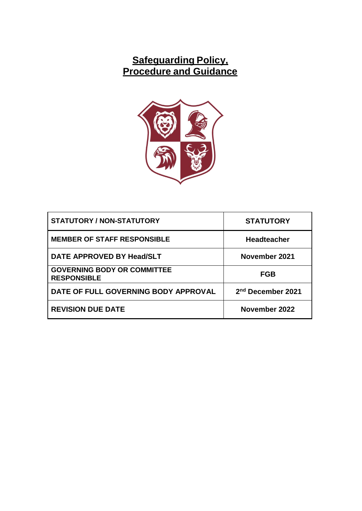# **Safeguarding Policy, Procedure and Guidance**



| <b>STATUTORY / NON-STATUTORY</b>                         | <b>STATUTORY</b>              |
|----------------------------------------------------------|-------------------------------|
| <b>MEMBER OF STAFF RESPONSIBLE</b>                       | <b>Headteacher</b>            |
| DATE APPROVED BY Head/SLT                                | November 2021                 |
| <b>GOVERNING BODY OR COMMITTEE</b><br><b>RESPONSIBLE</b> | <b>FGB</b>                    |
| DATE OF FULL GOVERNING BODY APPROVAL                     | 2 <sup>nd</sup> December 2021 |
| <b>REVISION DUE DATE</b>                                 | November 2022                 |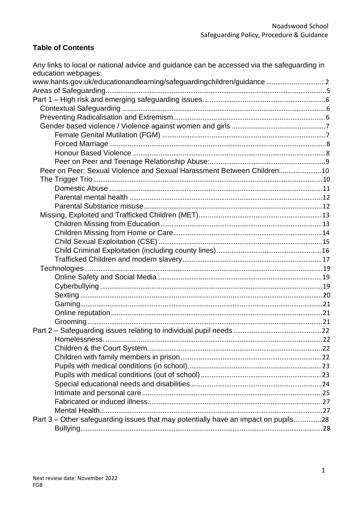### **Table of Contents**

| Any links to local or national advice and guidance can be accessed via the safeguarding in<br>education webpages: |  |
|-------------------------------------------------------------------------------------------------------------------|--|
| www.hants.gov.uk/educationandlearning/safeguardingchildren/guidance2                                              |  |
|                                                                                                                   |  |
|                                                                                                                   |  |
|                                                                                                                   |  |
|                                                                                                                   |  |
|                                                                                                                   |  |
|                                                                                                                   |  |
|                                                                                                                   |  |
|                                                                                                                   |  |
|                                                                                                                   |  |
| Peer on Peer: Sexual Violence and Sexual Harassment Between Children10                                            |  |
|                                                                                                                   |  |
|                                                                                                                   |  |
|                                                                                                                   |  |
|                                                                                                                   |  |
|                                                                                                                   |  |
|                                                                                                                   |  |
|                                                                                                                   |  |
|                                                                                                                   |  |
|                                                                                                                   |  |
|                                                                                                                   |  |
|                                                                                                                   |  |
|                                                                                                                   |  |
|                                                                                                                   |  |
|                                                                                                                   |  |
|                                                                                                                   |  |
|                                                                                                                   |  |
|                                                                                                                   |  |
|                                                                                                                   |  |
|                                                                                                                   |  |
|                                                                                                                   |  |
|                                                                                                                   |  |
|                                                                                                                   |  |
|                                                                                                                   |  |
|                                                                                                                   |  |
|                                                                                                                   |  |
|                                                                                                                   |  |
|                                                                                                                   |  |
| Part 3 – Other safeguarding issues that may potentially have an impact on pupils28                                |  |
|                                                                                                                   |  |
|                                                                                                                   |  |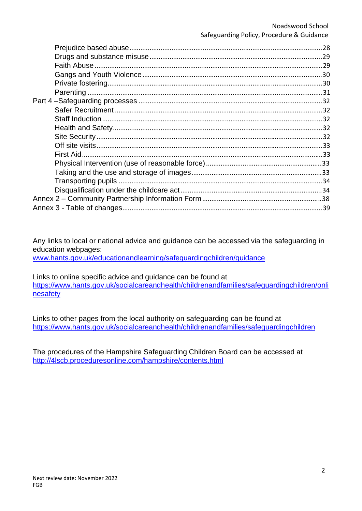Any links to local or national advice and guidance can be accessed via the safeguarding in education webpages:

[www.hants.gov.uk/educationandlearning/safeguardingchildren/guidance](http://www.hants.gov.uk/educationandlearning/safeguardingchildren/guidance)

Links to online specific advice and guidance can be found at [https://www.hants.gov.uk/socialcareandhealth/childrenandfamilies/safeguardingchildren/onli](https://www.hants.gov.uk/socialcareandhealth/childrenandfamilies/safeguardingchildren/onlinesafety) [nesafety](https://www.hants.gov.uk/socialcareandhealth/childrenandfamilies/safeguardingchildren/onlinesafety)

Links to other pages from the local authority on safeguarding can be found at <https://www.hants.gov.uk/socialcareandhealth/childrenandfamilies/safeguardingchildren>

The procedures of the Hampshire Safeguarding Children Board can be accessed at <http://4lscb.proceduresonline.com/hampshire/contents.html>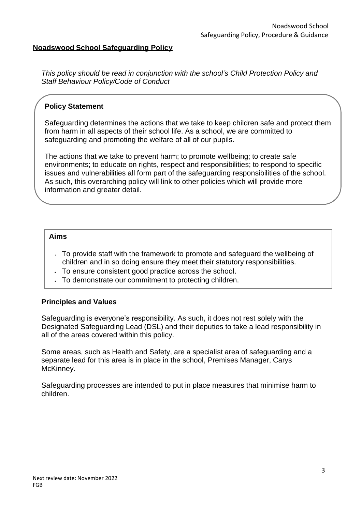#### **Noadswood School Safeguarding Policy**

*This policy should be read in conjunction with the school's Child Protection Policy and Staff Behaviour Policy/Code of Conduct*

#### **Policy Statement**

Safeguarding determines the actions that we take to keep children safe and protect them from harm in all aspects of their school life. As a school, we are committed to safeguarding and promoting the welfare of all of our pupils.

The actions that we take to prevent harm; to promote wellbeing; to create safe environments; to educate on rights, respect and responsibilities; to respond to specific issues and vulnerabilities all form part of the safeguarding responsibilities of the school. As such, this overarching policy will link to other policies which will provide more information and greater detail.

#### **Aims**

- $\sim$  To provide staff with the framework to promote and safeguard the wellbeing of children and in so doing ensure they meet their statutory responsibilities.
- $\overline{a}$  To ensure consistent good practice across the school.
- $\sqrt{ }$  To demonstrate our commitment to protecting children.

#### **Principles and Values**

Safeguarding is everyone's responsibility. As such, it does not rest solely with the Designated Safeguarding Lead (DSL) and their deputies to take a lead responsibility in all of the areas covered within this policy.

Some areas, such as Health and Safety, are a specialist area of safeguarding and a separate lead for this area is in place in the school, Premises Manager, Carys McKinney.

Safeguarding processes are intended to put in place measures that minimise harm to children.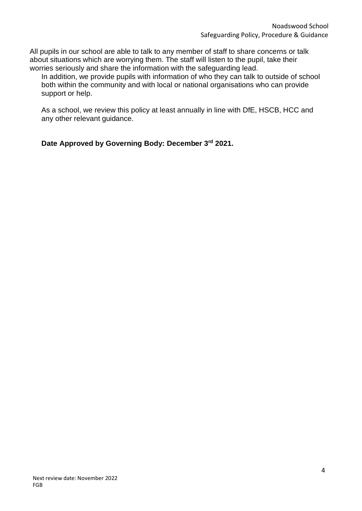All pupils in our school are able to talk to any member of staff to share concerns or talk about situations which are worrying them. The staff will listen to the pupil, take their worries seriously and share the information with the safeguarding lead.

In addition, we provide pupils with information of who they can talk to outside of school both within the community and with local or national organisations who can provide support or help.

As a school, we review this policy at least annually in line with DfE, HSCB, HCC and any other relevant guidance.

**Date Approved by Governing Body: December 3rd 2021.**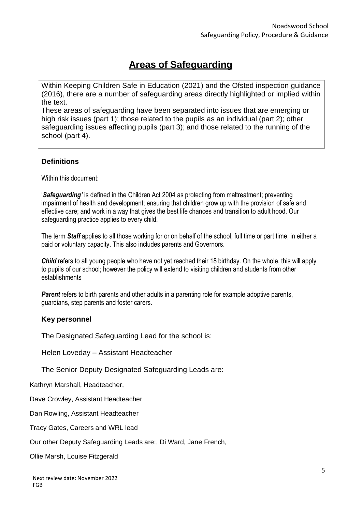# **Areas of Safeguarding**

Within Keeping Children Safe in Education (2021) and the Ofsted inspection guidance (2016), there are a number of safeguarding areas directly highlighted or implied within the text.

These areas of safeguarding have been separated into issues that are emerging or high risk issues (part 1); those related to the pupils as an individual (part 2); other safeguarding issues affecting pupils (part 3); and those related to the running of the school (part 4).

### **Definitions**

Within this document:

'*Safeguarding'* is defined in the Children Act 2004 as protecting from maltreatment; preventing impairment of health and development; ensuring that children grow up with the provision of safe and effective care; and work in a way that gives the best life chances and transition to adult hood. Our safeguarding practice applies to every child.

The term *Staff* applies to all those working for or on behalf of the school, full time or part time, in either a paid or voluntary capacity. This also includes parents and Governors.

**Child** refers to all young people who have not yet reached their 18 birthday. On the whole, this will apply to pupils of our school; however the policy will extend to visiting children and students from other establishments

*Parent* refers to birth parents and other adults in a parenting role for example adoptive parents, guardians, step parents and foster carers.

#### **Key personnel**

The Designated Safeguarding Lead for the school is:

Helen Loveday – Assistant Headteacher

The Senior Deputy Designated Safeguarding Leads are:

Kathryn Marshall, Headteacher,

Dave Crowley, Assistant Headteacher

Dan Rowling, Assistant Headteacher

Tracy Gates, Careers and WRL lead

Our other Deputy Safeguarding Leads are:, Di Ward, Jane French,

Ollie Marsh, Louise Fitzgerald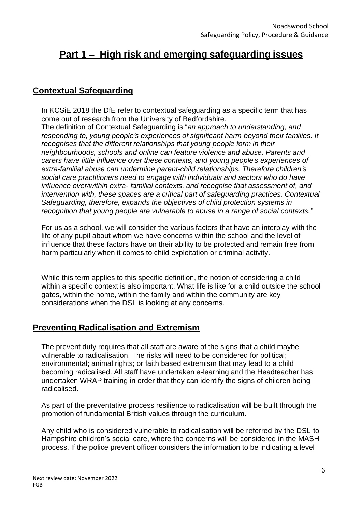# **Part 1 – High risk and emerging safeguarding issues**

# **Contextual Safeguarding**

In KCSiE 2018 the DfE refer to contextual safeguarding as a specific term that has come out of research from the University of Bedfordshire.

The definition of Contextual Safeguarding is "*an approach to understanding, and responding to, young people's experiences of significant harm beyond their families. It recognises that the different relationships that young people form in their neighbourhoods, schools and online can feature violence and abuse. Parents and carers have little influence over these contexts, and young people's experiences of extra-familial abuse can undermine parent-child relationships. Therefore children's social care practitioners need to engage with individuals and sectors who do have influence over/within extra- familial contexts, and recognise that assessment of, and intervention with, these spaces are a critical part of safeguarding practices. Contextual Safeguarding, therefore, expands the objectives of child protection systems in recognition that young people are vulnerable to abuse in a range of social contexts."*

For us as a school, we will consider the various factors that have an interplay with the life of any pupil about whom we have concerns within the school and the level of influence that these factors have on their ability to be protected and remain free from harm particularly when it comes to child exploitation or criminal activity.

While this term applies to this specific definition, the notion of considering a child within a specific context is also important. What life is like for a child outside the school gates, within the home, within the family and within the community are key considerations when the DSL is looking at any concerns.

# **Preventing Radicalisation and Extremism**

The prevent duty requires that all staff are aware of the signs that a child maybe vulnerable to radicalisation. The risks will need to be considered for political; environmental; animal rights; or faith based extremism that may lead to a child becoming radicalised. All staff have undertaken e-learning and the Headteacher has undertaken WRAP training in order that they can identify the signs of children being radicalised.

As part of the preventative process resilience to radicalisation will be built through the promotion of fundamental British values through the curriculum.

Any child who is considered vulnerable to radicalisation will be referred by the DSL to Hampshire children's social care, where the concerns will be considered in the MASH process. If the police prevent officer considers the information to be indicating a level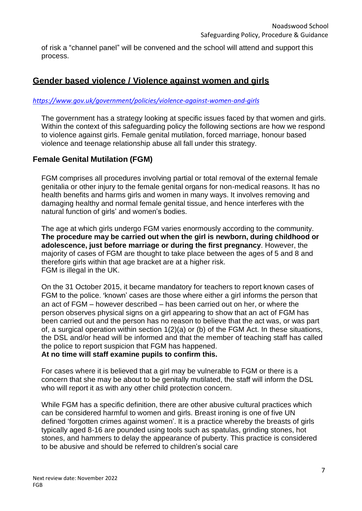of risk a "channel panel" will be convened and the school will attend and support this process.

# **Gender based violence / Violence against women and girls**

#### *<https://www.gov.uk/government/policies/violence-against-women-and-girls>*

The government has a strategy looking at specific issues faced by that women and girls. Within the context of this safeguarding policy the following sections are how we respond to violence against girls. Female genital mutilation, forced marriage, honour based violence and teenage relationship abuse all fall under this strategy.

### **Female Genital Mutilation (FGM)**

FGM comprises all procedures involving partial or total removal of the external female genitalia or other injury to the female genital organs for non-medical reasons. It has no health benefits and harms girls and women in many ways. It involves removing and damaging healthy and normal female genital tissue, and hence interferes with the natural function of girls' and women's bodies.

The age at which girls undergo FGM varies enormously according to the community. **The procedure may be carried out when the girl is newborn, during childhood or adolescence, just before marriage or during the first pregnancy**. However, the majority of cases of FGM are thought to take place between the ages of 5 and 8 and therefore girls within that age bracket are at a higher risk. FGM is illegal in the UK.

On the 31 October 2015, it became mandatory for teachers to report known cases of FGM to the police. 'known' cases are those where either a girl informs the person that an act of FGM – however described – has been carried out on her, or where the person observes physical signs on a girl appearing to show that an act of FGM has been carried out and the person has no reason to believe that the act was, or was part of, a surgical operation within section 1(2)(a) or (b) of the FGM Act. In these situations, the DSL and/or head will be informed and that the member of teaching staff has called the police to report suspicion that FGM has happened.

**At no time will staff examine pupils to confirm this.**

For cases where it is believed that a girl may be vulnerable to FGM or there is a concern that she may be about to be genitally mutilated, the staff will inform the DSL who will report it as with any other child protection concern.

While FGM has a specific definition, there are other abusive cultural practices which can be considered harmful to women and girls. Breast ironing is one of five UN defined 'forgotten crimes against women'. It is a practice whereby the breasts of girls typically aged 8-16 are pounded using tools such as spatulas, grinding stones, hot stones, and hammers to delay the appearance of puberty. This practice is considered to be abusive and should be referred to children's social care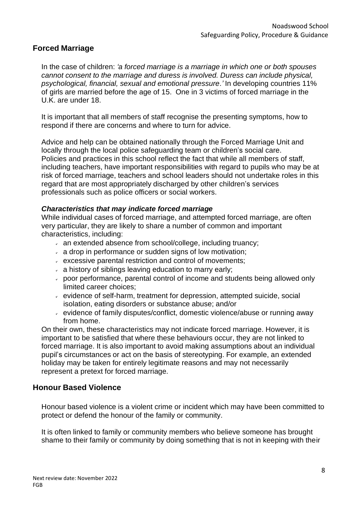### **Forced Marriage**

In the case of children: *'a forced marriage is a marriage in which one or both spouses cannot consent to the marriage and duress is involved. Duress can include physical, psychological, financial, sexual and emotional pressure.'* In developing countries 11% of girls are married before the age of 15. One in 3 victims of forced marriage in the U.K. are under 18.

It is important that all members of staff recognise the presenting symptoms, how to respond if there are concerns and where to turn for advice.

Advice and help can be obtained nationally through the Forced Marriage Unit and locally through the local police safeguarding team or children's social care. Policies and practices in this school reflect the fact that while all members of staff, including teachers, have important responsibilities with regard to pupils who may be at risk of forced marriage, teachers and school leaders should not undertake roles in this regard that are most appropriately discharged by other children's services professionals such as police officers or social workers.

#### *Characteristics that may indicate forced marriage*

While individual cases of forced marriage, and attempted forced marriage, are often very particular, they are likely to share a number of common and important characteristics, including:

- an extended absence from school/college, including truancy;
- a drop in performance or sudden signs of low motivation;
- excessive parental restriction and control of movements;
- $\overline{a}$  a history of siblings leaving education to marry early;
- poor performance, parental control of income and students being allowed only limited career choices;
- evidence of self-harm, treatment for depression, attempted suicide, social isolation, eating disorders or substance abuse; and/or
- evidence of family disputes/conflict, domestic violence/abuse or running away from home.

On their own, these characteristics may not indicate forced marriage. However, it is important to be satisfied that where these behaviours occur, they are not linked to forced marriage. It is also important to avoid making assumptions about an individual pupil's circumstances or act on the basis of stereotyping. For example, an extended holiday may be taken for entirely legitimate reasons and may not necessarily represent a pretext for forced marriage*.*

#### **Honour Based Violence**

Honour based violence is a violent crime or incident which may have been committed to protect or defend the honour of the family or community.

It is often linked to family or community members who believe someone has brought shame to their family or community by doing something that is not in keeping with their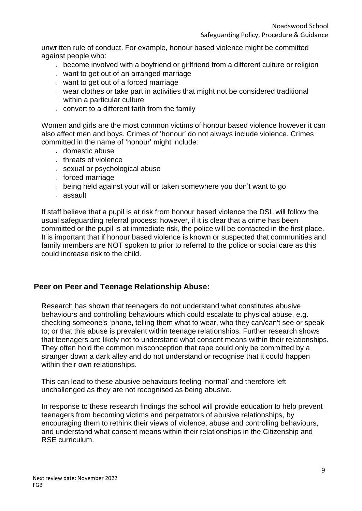unwritten rule of conduct. For example, honour based violence might be committed against people who:

- become involved with a boyfriend or girlfriend from a different culture or religion
- $\sim$  want to get out of an arranged marriage
- $\sim$  want to get out of a forced marriage
- $\sim$  wear clothes or take part in activities that might not be considered traditional within a particular culture
- $\sim$  convert to a different faith from the family

Women and girls are the most common victims of honour based violence however it can also affect men and boys. Crimes of 'honour' do not always include violence. Crimes committed in the name of 'honour' might include:

- domestic abuse
- threats of violence
- sexual or psychological abuse
- $\cdot$  forced marriage
- being held against your will or taken somewhere you don't want to go
- assault

If staff believe that a pupil is at risk from honour based violence the DSL will follow the usual safeguarding referral process; however, if it is clear that a crime has been committed or the pupil is at immediate risk, the police will be contacted in the first place. It is important that if honour based violence is known or suspected that communities and family members are NOT spoken to prior to referral to the police or social care as this could increase risk to the child.

#### **Peer on Peer and Teenage Relationship Abuse:**

Research has shown that teenagers do not understand what constitutes abusive behaviours and controlling behaviours which could escalate to physical abuse, e.g. checking someone's 'phone, telling them what to wear, who they can/can't see or speak to; or that this abuse is prevalent within teenage relationships. Further research shows that teenagers are likely not to understand what consent means within their relationships. They often hold the common misconception that rape could only be committed by a stranger down a dark alley and do not understand or recognise that it could happen within their own relationships.

This can lead to these abusive behaviours feeling 'normal' and therefore left unchallenged as they are not recognised as being abusive.

In response to these research findings the school will provide education to help prevent teenagers from becoming victims and perpetrators of abusive relationships, by encouraging them to rethink their views of violence, abuse and controlling behaviours, and understand what consent means within their relationships in the Citizenship and RSE curriculum.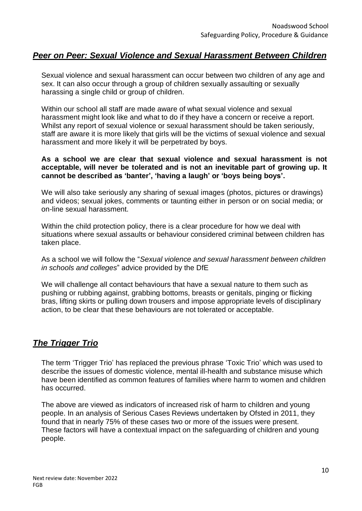# *Peer on Peer: Sexual Violence and Sexual Harassment Between Children*

Sexual violence and sexual harassment can occur between two children of any age and sex. It can also occur through a group of children sexually assaulting or sexually harassing a single child or group of children.

Within our school all staff are made aware of what sexual violence and sexual harassment might look like and what to do if they have a concern or receive a report. Whilst any report of sexual violence or sexual harassment should be taken seriously, staff are aware it is more likely that girls will be the victims of sexual violence and sexual harassment and more likely it will be perpetrated by boys.

#### **As a school we are clear that sexual violence and sexual harassment is not acceptable, will never be tolerated and is not an inevitable part of growing up. It cannot be described as 'banter', 'having a laugh' or 'boys being boys'.**

We will also take seriously any sharing of sexual images (photos, pictures or drawings) and videos; sexual jokes, comments or taunting either in person or on social media; or on-line sexual harassment.

Within the child protection policy, there is a clear procedure for how we deal with situations where sexual assaults or behaviour considered criminal between children has taken place.

As a school we will follow the "*Sexual violence and sexual harassment between children in schools and colleges*" advice provided by the DfE

We will challenge all contact behaviours that have a sexual nature to them such as pushing or rubbing against, grabbing bottoms, breasts or genitals, pinging or flicking bras, lifting skirts or pulling down trousers and impose appropriate levels of disciplinary action, to be clear that these behaviours are not tolerated or acceptable.

# *The Trigger Trio*

The term 'Trigger Trio' has replaced the previous phrase 'Toxic Trio' which was used to describe the issues of domestic violence, mental ill-health and substance misuse which have been identified as common features of families where harm to women and children has occurred.

The above are viewed as indicators of increased risk of harm to children and young people. In an analysis of Serious Cases Reviews undertaken by Ofsted in 2011, they found that in nearly 75% of these cases two or more of the issues were present. These factors will have a contextual impact on the safeguarding of children and young people.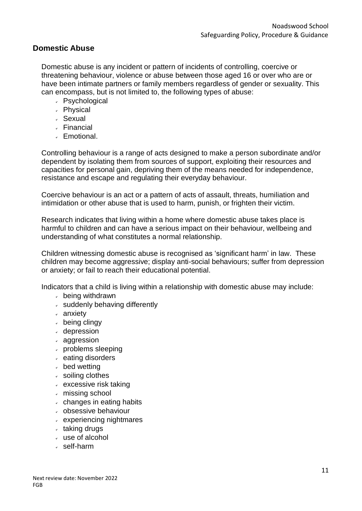### **Domestic Abuse**

Domestic abuse is any incident or pattern of incidents of controlling, coercive or threatening behaviour, violence or abuse between those aged 16 or over who are or have been intimate partners or family members regardless of gender or sexuality. This can encompass, but is not limited to, the following types of abuse:

- Psychological
- Physical
- Sexual
- Financial
- Emotional.

Controlling behaviour is a range of acts designed to make a person subordinate and/or dependent by isolating them from sources of support, exploiting their resources and capacities for personal gain, depriving them of the means needed for independence, resistance and escape and regulating their everyday behaviour.

Coercive behaviour is an act or a pattern of acts of assault, threats, humiliation and intimidation or other abuse that is used to harm, punish, or frighten their victim.

Research indicates that living within a home where domestic abuse takes place is harmful to children and can have a serious impact on their behaviour, wellbeing and understanding of what constitutes a normal relationship.

Children witnessing domestic abuse is recognised as 'significant harm' in law. These children may become aggressive; display anti-social behaviours; suffer from depression or anxiety; or fail to reach their educational potential.

Indicators that a child is living within a relationship with domestic abuse may include:

- being withdrawn
- $\overline{\phantom{a}}$  suddenly behaving differently
- anxiety
- $\triangle$  being clingy
- depression
- aggression
- problems sleeping
- $\epsilon$  eating disorders
- bed wetting
- soiling clothes
- $\cdot$  excessive risk taking
- missing school
- $\cdot$  changes in eating habits
- obsessive behaviour
- experiencing nightmares
- $\cdot$  taking drugs
- use of alcohol
- self-harm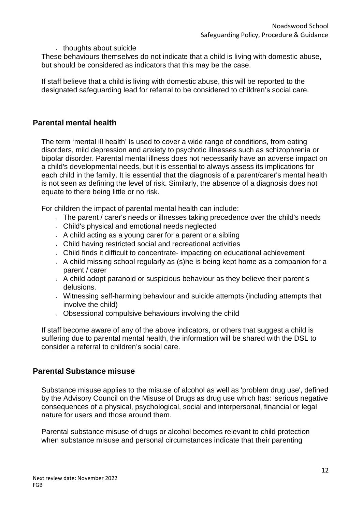#### $\cdot$  thoughts about suicide

These behaviours themselves do not indicate that a child is living with domestic abuse, but should be considered as indicators that this may be the case.

If staff believe that a child is living with domestic abuse, this will be reported to the designated safeguarding lead for referral to be considered to children's social care.

#### **Parental mental health**

The term 'mental ill health' is used to cover a wide range of conditions, from eating disorders, mild depression and anxiety to psychotic illnesses such as schizophrenia or bipolar disorder. Parental mental illness does not necessarily have an adverse impact on a child's developmental needs, but it is essential to always assess its implications for each child in the family. It is essential that the diagnosis of a parent/carer's mental health is not seen as defining the level of risk. Similarly, the absence of a diagnosis does not equate to there being little or no risk.

For children the impact of parental mental health can include:

- The parent / carer's needs or illnesses taking precedence over the child's needs
- Child's physical and emotional needs neglected
- $\overline{A}$  A child acting as a young carer for a parent or a sibling
- Child having restricted social and recreational activities
- Child finds it difficult to concentrate- impacting on educational achievement
- $\overline{A}$  A child missing school regularly as (s) he is being kept home as a companion for a parent / carer
- $\overline{\phantom{a}}$  A child adopt paranoid or suspicious behaviour as they believe their parent's delusions.
- Witnessing self-harming behaviour and suicide attempts (including attempts that involve the child)
- Obsessional compulsive behaviours involving the child

If staff become aware of any of the above indicators, or others that suggest a child is suffering due to parental mental health, the information will be shared with the DSL to consider a referral to children's social care.

#### **Parental Substance misuse**

Substance misuse applies to the misuse of alcohol as well as 'problem drug use', defined by the Advisory Council on the Misuse of Drugs as drug use which has: 'serious negative consequences of a physical, psychological, social and interpersonal, financial or legal nature for users and those around them.

Parental substance misuse of drugs or alcohol becomes relevant to child protection when substance misuse and personal circumstances indicate that their parenting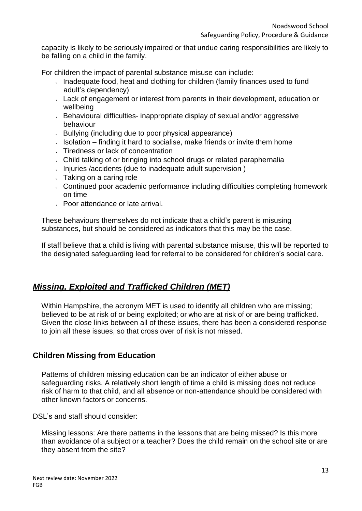capacity is likely to be seriously impaired or that undue caring responsibilities are likely to be falling on a child in the family.

For children the impact of parental substance misuse can include:

- Inadequate food, heat and clothing for children (family finances used to fund adult's dependency)
- Lack of engagement or interest from parents in their development, education or wellbeing
- Behavioural difficulties- inappropriate display of sexual and/or aggressive behaviour
- $\sim$  Bullying (including due to poor physical appearance)
- $\sim$  Isolation finding it hard to socialise, make friends or invite them home
- Tiredness or lack of concentration
- Child talking of or bringing into school drugs or related paraphernalia
- $\sim$  Injuries /accidents (due to inadequate adult supervision)
- $\sqrt{ }$  Taking on a caring role
- Continued poor academic performance including difficulties completing homework on time
- Poor attendance or late arrival.

These behaviours themselves do not indicate that a child's parent is misusing substances, but should be considered as indicators that this may be the case.

If staff believe that a child is living with parental substance misuse, this will be reported to the designated safeguarding lead for referral to be considered for children's social care.

# *Missing, Exploited and Trafficked Children (MET)*

Within Hampshire, the acronym MET is used to identify all children who are missing; believed to be at risk of or being exploited; or who are at risk of or are being trafficked. Given the close links between all of these issues, there has been a considered response to join all these issues, so that cross over of risk is not missed.

#### **Children Missing from Education**

Patterns of children missing education can be an indicator of either abuse or safeguarding risks. A relatively short length of time a child is missing does not reduce risk of harm to that child, and all absence or non-attendance should be considered with other known factors or concerns.

DSL's and staff should consider:

Missing lessons: Are there patterns in the lessons that are being missed? Is this more than avoidance of a subject or a teacher? Does the child remain on the school site or are they absent from the site?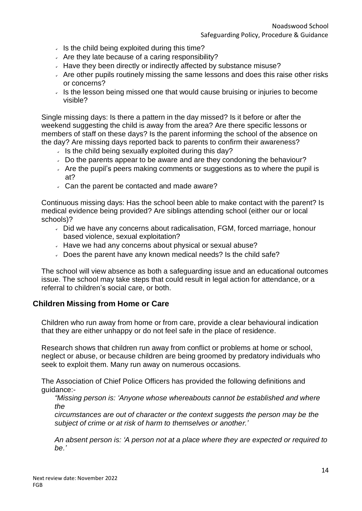- $\cdot$  Is the child being exploited during this time?
- $\sim$  Are they late because of a caring responsibility?
- $\sim$  Have they been directly or indirectly affected by substance misuse?
- $\overline{a}$  Are other pupils routinely missing the same lessons and does this raise other risks or concerns?
- $\overline{\phantom{a}}$  Is the lesson being missed one that would cause bruising or injuries to become visible?

Single missing days: Is there a pattern in the day missed? Is it before or after the weekend suggesting the child is away from the area? Are there specific lessons or members of staff on these days? Is the parent informing the school of the absence on the day? Are missing days reported back to parents to confirm their awareness?

- $\cdot$  Is the child being sexually exploited during this day?
- $\sim$  Do the parents appear to be aware and are they condoning the behaviour?
- $\overline{\phantom{a}}$  Are the pupil's peers making comments or suggestions as to where the pupil is at?
- Can the parent be contacted and made aware?

Continuous missing days: Has the school been able to make contact with the parent? Is medical evidence being provided? Are siblings attending school (either our or local schools)?

- Did we have any concerns about radicalisation, FGM, forced marriage, honour based violence, sexual exploitation?
- $\sim$  Have we had any concerns about physical or sexual abuse?
- Does the parent have any known medical needs? Is the child safe?

The school will view absence as both a safeguarding issue and an educational outcomes issue. The school may take steps that could result in legal action for attendance, or a referral to children's social care, or both.

# **Children Missing from Home or Care**

Children who run away from home or from care, provide a clear behavioural indication that they are either unhappy or do not feel safe in the place of residence.

Research shows that children run away from conflict or problems at home or school, neglect or abuse, or because children are being groomed by predatory individuals who seek to exploit them. Many run away on numerous occasions.

The Association of Chief Police Officers has provided the following definitions and guidance:-

*"Missing person is: 'Anyone whose whereabouts cannot be established and where the*

*circumstances are out of character or the context suggests the person may be the subject of crime or at risk of harm to themselves or another.'*

*An absent person is: 'A person not at a place where they are expected or required to be.'*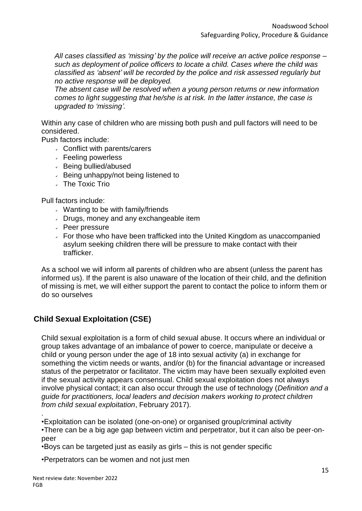*All cases classified as 'missing' by the police will receive an active police response – such as deployment of police officers to locate a child. Cases where the child was classified as 'absent' will be recorded by the police and risk assessed regularly but no active response will be deployed.*

*The absent case will be resolved when a young person returns or new information comes to light suggesting that he/she is at risk. In the latter instance, the case is upgraded to 'missing'.*

Within any case of children who are missing both push and pull factors will need to be considered.

Push factors include:

- Conflict with parents/carers
- $\overline{\phantom{a}}$  Feeling powerless
- Being bullied/abused
- $\overline{\phantom{a}}$  Being unhappy/not being listened to
- The Toxic Trio

Pull factors include:

- $\cdot$  Wanting to be with family/friends
- Drugs, money and any exchangeable item
- Peer pressure
- For those who have been trafficked into the United Kingdom as unaccompanied asylum seeking children there will be pressure to make contact with their trafficker.

As a school we will inform all parents of children who are absent (unless the parent has informed us). If the parent is also unaware of the location of their child, and the definition of missing is met, we will either support the parent to contact the police to inform them or do so ourselves

# **Child Sexual Exploitation (CSE)**

Child sexual exploitation is a form of child sexual abuse. It occurs where an individual or group takes advantage of an imbalance of power to coerce, manipulate or deceive a child or young person under the age of 18 into sexual activity (a) in exchange for something the victim needs or wants, and/or (b) for the financial advantage or increased status of the perpetrator or facilitator. The victim may have been sexually exploited even if the sexual activity appears consensual. Child sexual exploitation does not always involve physical contact; it can also occur through the use of technology (*Definition and a guide for practitioners, local leaders and decision makers working to protect children from child sexual exploitation*, February 2017).

•Exploitation can be isolated (one-on-one) or organised group/criminal activity

•There can be a big age gap between victim and perpetrator, but it can also be peer-onpeer

•Boys can be targeted just as easily as girls – this is not gender specific

•Perpetrators can be women and not just men

.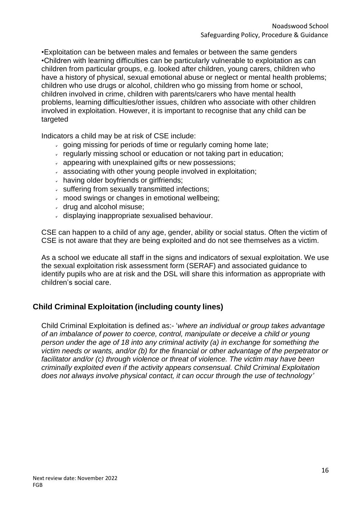•Exploitation can be between males and females or between the same genders •Children with learning difficulties can be particularly vulnerable to exploitation as can children from particular groups, e.g. looked after children, young carers, children who have a history of physical, sexual emotional abuse or neglect or mental health problems; children who use drugs or alcohol, children who go missing from home or school, children involved in crime, children with parents/carers who have mental health problems, learning difficulties/other issues, children who associate with other children involved in exploitation. However, it is important to recognise that any child can be targeted

Indicators a child may be at risk of CSE include:

- $\alpha$  going missing for periods of time or regularly coming home late;
- $\epsilon$  regularly missing school or education or not taking part in education;
- appearing with unexplained gifts or new possessions;
- associating with other young people involved in exploitation;
- having older boyfriends or girlfriends;
- $\sim$  suffering from sexually transmitted infections;
- mood swings or changes in emotional wellbeing;
- drug and alcohol misuse;
- displaying inappropriate sexualised behaviour.

CSE can happen to a child of any age, gender, ability or social status. Often the victim of CSE is not aware that they are being exploited and do not see themselves as a victim.

As a school we educate all staff in the signs and indicators of sexual exploitation. We use the sexual exploitation risk assessment form [\(SERAF\)](http://www.hampshiresafeguardingchildrenboard.org.uk/user_controlled_lcms_area/uploaded_files/SERAF%20Risk%20Assessment%20Form%20UPDATED%20Sept%202015%20%282%29.doc) and [associated](http://www.hampshiresafeguardingchildrenboard.org.uk/user_controlled_lcms_area/uploaded_files/SERAF%20Risk%20Assessment%20-%20Scoring%20Guidance_%28HF000005713337%29.doc) guidance to identify pupils who are at risk and the DSL will share this information as appropriate with children's social care.

# **Child Criminal Exploitation (including county lines)**

Child Criminal Exploitation is defined as:- '*where an individual or group takes advantage of an imbalance of power to coerce, control, manipulate or deceive a child or young person under the age of 18 into any criminal activity (a) in exchange for something the victim needs or wants, and/or (b) for the financial or other advantage of the perpetrator or facilitator and/or (c) through violence or threat of violence. The victim may have been criminally exploited even if the activity appears consensual. Child Criminal Exploitation does not always involve physical contact, it can occur through the use of technology'*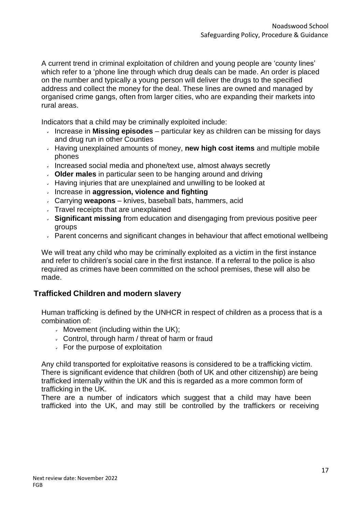A current trend in criminal exploitation of children and young people are 'county lines' which refer to a 'phone line through which drug deals can be made. An order is placed on the number and typically a young person will deliver the drugs to the specified address and collect the money for the deal. These lines are owned and managed by organised crime gangs, often from larger cities, who are expanding their markets into rural areas.

Indicators that a child may be criminally exploited include:

- Increase in **Missing episodes**  particular key as children can be missing for days and drug run in other Counties
- Having unexplained amounts of money, **new high cost items** and multiple mobile phones
- Increased social media and phone/text use, almost always secretly
- **Older males** in particular seen to be hanging around and driving
- $\overline{V}$  Having injuries that are unexplained and unwilling to be looked at
- Increase in **aggression, violence and fighting**
- Carrying **weapons** knives, baseball bats, hammers, acid
- $\sqrt{ }$  Travel receipts that are unexplained
- **Significant missing** from education and disengaging from previous positive peer groups
- $\sim$  Parent concerns and significant changes in behaviour that affect emotional wellbeing

We will treat any child who may be criminally exploited as a victim in the first instance and refer to children's social care in the first instance. If a referral to the police is also required as crimes have been committed on the school premises, these will also be made.

# **Trafficked Children and modern slavery**

Human trafficking is defined by the UNHCR in respect of children as a process that is a combination of:

- $\sim$  Movement (including within the UK);
- Control, through harm / threat of harm or fraud
- $\overline{\phantom{a}}$  For the purpose of exploitation

Any child transported for exploitative reasons is considered to be a trafficking victim. There is significant evidence that children (both of UK and other citizenship) are being trafficked internally within the UK and this is regarded as a more common form of trafficking in the UK.

There are a number of indicators which suggest that a child may have been trafficked into the UK, and may still be controlled by the traffickers or receiving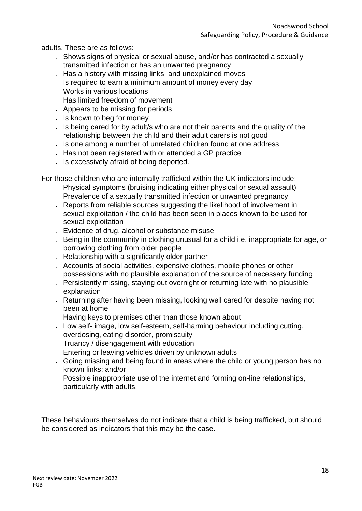adults. These are as follows:

- $\overline{\phantom{a}}$  Shows signs of physical or sexual abuse, and/or has contracted a sexually transmitted infection or has an unwanted pregnancy
- $\sim$  Has a history with missing links and unexplained moves
- $\overline{\phantom{a}}$  Is required to earn a minimum amount of money every day
- Works in various locations
- $\sim$  Has limited freedom of movement
- $\sim$  Appears to be missing for periods
- $\cdot$  Is known to beg for money
- $\cdot$  Is being cared for by adult/s who are not their parents and the quality of the relationship between the child and their adult carers is not good
- $\cdot$  Is one among a number of unrelated children found at one address
- Has not been registered with or attended a GP practice
- $\cdot$  Is excessively afraid of being deported.

For those children who are internally trafficked within the UK indicators include:

- Physical symptoms (bruising indicating either physical or sexual assault)
- Prevalence of a sexually transmitted infection or unwanted pregnancy
- Reports from reliable sources suggesting the likelihood of involvement in sexual exploitation / the child has been seen in places known to be used for sexual exploitation
- **Evidence of drug, alcohol or substance misuse**
- Being in the community in clothing unusual for a child i.e. inappropriate for age, or borrowing clothing from older people
- Relationship with a significantly older partner
- Accounts of social activities, expensive clothes, mobile phones or other possessions with no plausible explanation of the source of necessary funding
- **Persistently missing, staying out overnight or returning late with no plausible** explanation
- Returning after having been missing, looking well cared for despite having not been at home
- $\sim$  Having keys to premises other than those known about
- Low self- image, low self-esteem, self-harming behaviour including cutting, overdosing, eating disorder, promiscuity
- Truancy / disengagement with education
- **Entering or leaving vehicles driven by unknown adults**
- Going missing and being found in areas where the child or young person has no known links; and/or
- Possible inappropriate use of the internet and forming on-line relationships, particularly with adults.

These behaviours themselves do not indicate that a child is being trafficked, but should be considered as indicators that this may be the case.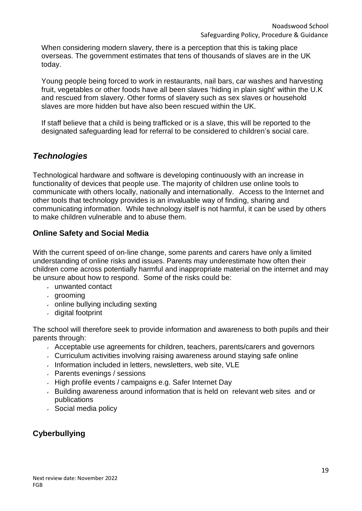When considering modern slavery, there is a perception that this is taking place overseas. The government estimates that tens of thousands of slaves are in the UK today.

Young people being forced to work in restaurants, nail bars, car washes and harvesting fruit, vegetables or other foods have all been slaves 'hiding in plain sight' within the U.K and rescued from slavery. Other forms of slavery such as sex slaves or household slaves are more hidden but have also been rescued within the UK.

If staff believe that a child is being trafficked or is a slave, this will be reported to the designated safeguarding lead for referral to be considered to children's social care.

# *Technologies*

Technological hardware and software is developing continuously with an increase in functionality of devices that people use. The majority of children use online tools to communicate with others locally, nationally and internationally. Access to the Internet and other tools that technology provides is an invaluable way of finding, sharing and communicating information. While technology itself is not harmful, it can be used by others to make children vulnerable and to abuse them.

# **Online Safety and Social Media**

With the current speed of on-line change, some parents and carers have only a limited understanding of online risks and issues. Parents may underestimate how often their children come across potentially harmful and inappropriate material on the internet and may be unsure about how to respond. Some of the risks could be:

- unwanted contact
- grooming
- online bullying including sexting
- digital footprint

The school will therefore seek to provide information and awareness to both pupils and their parents through:

- Acceptable use agreements for children, teachers, parents/carers and governors
- Curriculum activities involving raising awareness around staying safe online
- $\cdot$  Information included in letters, newsletters, web site, VLE
- $\sqrt{P}$  Parents evenings / sessions
- $\overline{\phantom{a}}$  High profile events / campaigns e.g. Safer Internet Day
- Building awareness around information that is held on relevant web sites and or publications
- Social media policy

# **Cyberbullying**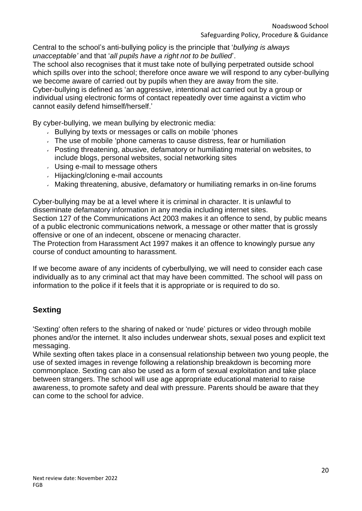Central to the school's anti-bullying policy is the principle that '*bullying is always unacceptable'* and that '*all pupils have a right not to be bullied*'.

The school also recognises that it must take note of bullying perpetrated outside school which spills over into the school; therefore once aware we will respond to any cyber-bullying we become aware of carried out by pupils when they are away from the site.

Cyber-bullying is defined as 'an aggressive, intentional act carried out by a group or individual using electronic forms of contact repeatedly over time against a victim who cannot easily defend himself/herself.'

By cyber-bullying, we mean bullying by electronic media:

- Bullying by texts or messages or calls on mobile 'phones
- $\overline{a}$ . The use of mobile 'phone cameras to cause distress, fear or humiliation
- Posting threatening, abusive, defamatory or humiliating material on websites, to include blogs, personal websites, social networking sites
- Using e-mail to message others
- $\cdot$  Hijacking/cloning e-mail accounts
- Making threatening, abusive, defamatory or humiliating remarks in on-line forums

Cyber-bullying may be at a level where it is criminal in character. It is unlawful to disseminate defamatory information in any media including internet sites. Section 127 of the Communications Act 2003 makes it an offence to send, by public means of a public electronic communications network, a message or other matter that is grossly offensive or one of an indecent, obscene or menacing character.

The Protection from Harassment Act 1997 makes it an offence to knowingly pursue any course of conduct amounting to harassment.

If we become aware of any incidents of cyberbullying, we will need to consider each case individually as to any criminal act that may have been committed. The school will pass on information to the police if it feels that it is appropriate or is required to do so.

# **Sexting**

'Sexting' often refers to the sharing of naked or 'nude' pictures or video through mobile phones and/or the internet. It also includes underwear shots, sexual poses and explicit text messaging.

While sexting often takes place in a consensual relationship between two young people, the use of sexted images in revenge following a relationship breakdown is becoming more commonplace. Sexting can also be used as a form of sexual exploitation and take place between strangers. The school will use age appropriate educational material to raise awareness, to promote safety and deal with pressure. Parents should be aware that they can come to the school for advice.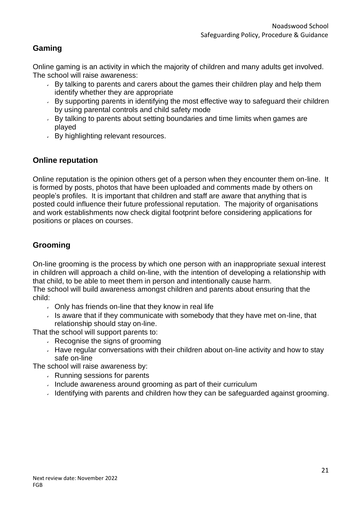# **Gaming**

Online gaming is an activity in which the majority of children and many adults get involved. The school will raise awareness:

- $\overline{B}$  By talking to parents and carers about the games their children play and help them identify whether they are appropriate
- $\overline{B}$  By supporting parents in identifying the most effective way to safeguard their children by using parental controls and child safety mode
- By talking to parents about setting boundaries and time limits when games are played
- By highlighting relevant resources.

# **Online reputation**

Online reputation is the opinion others get of a person when they encounter them on-line. It is formed by posts, photos that have been uploaded and comments made by others on people's profiles. It is important that children and staff are aware that anything that is posted could influence their future professional reputation. The majority of organisations and work establishments now check digital footprint before considering applications for positions or places on courses.

# **Grooming**

On-line grooming is the process by which one person with an inappropriate sexual interest in children will approach a child on-line, with the intention of developing a relationship with that child, to be able to meet them in person and intentionally cause harm.

The school will build awareness amongst children and parents about ensuring that the child:

- $\sim$  Only has friends on-line that they know in real life
- Is aware that if they communicate with somebody that they have met on-line, that relationship should stay on-line.

That the school will support parents to:

- $\sqrt{ }$  Recognise the signs of grooming
- $\overline{\phantom{a}}$  Have regular conversations with their children about on-line activity and how to stay safe on-line

The school will raise awareness by:

- $\sqrt{ }$  Running sessions for parents
- Include awareness around grooming as part of their curriculum
- $\overline{a}$  Identifying with parents and children how they can be safeguarded against grooming.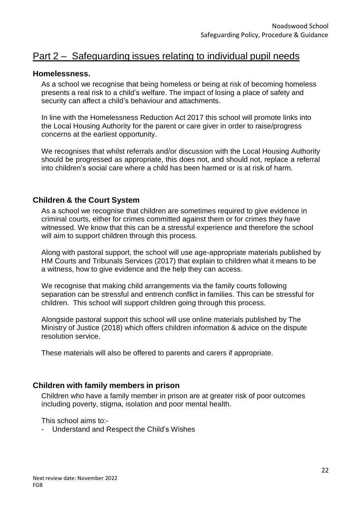# Part 2 – Safeguarding issues relating to individual pupil needs

#### **Homelessness.**

As a school we recognise that being homeless or being at risk of becoming homeless presents a real risk to a child's welfare. The impact of losing a place of safety and security can affect a child's behaviour and attachments.

In line with the Homelessness Reduction Act 2017 this school will promote links into the Local Housing Authority for the parent or care giver in order to raise/progress concerns at the earliest opportunity.

We recognises that whilst referrals and/or discussion with the Local Housing Authority should be progressed as appropriate, this does not, and should not, replace a referral into children's social care where a child has been harmed or is at risk of harm.

### **Children & the Court System**

As a school we recognise that children are sometimes required to give evidence in criminal courts, either for crimes committed against them or for crimes they have witnessed. We know that this can be a stressful experience and therefore the school will aim to support children through this process.

Along with pastoral support, the school will use age-appropriate materials published by HM Courts and Tribunals Services (2017) that explain to children what it means to be a witness, how to give evidence and the help they can access.

We recognise that making child arrangements via the family courts following separation can be stressful and entrench conflict in families. This can be stressful for children. This school will support children going through this process.

Alongside pastoral support this school will use online materials published by The Ministry of Justice (2018) which offers children information & advice on the dispute resolution service.

These materials will also be offered to parents and carers if appropriate.

#### **Children with family members in prison**

Children who have a family member in prison are at greater risk of poor outcomes including poverty, stigma, isolation and poor mental health.

This school aims to:-

- Understand and Respect the Child's Wishes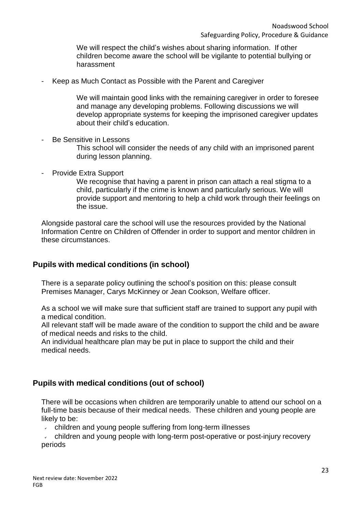We will respect the child's wishes about sharing information. If other children become aware the school will be vigilante to potential bullying or harassment

Keep as Much Contact as Possible with the Parent and Caregiver

We will maintain good links with the remaining caregiver in order to foresee and manage any developing problems. Following discussions we will develop appropriate systems for keeping the imprisoned caregiver updates about their child's education.

- Be Sensitive in Lessons This school will consider the needs of any child with an imprisoned parent during lesson planning.
- Provide Extra Support

We recognise that having a parent in prison can attach a real stigma to a child, particularly if the crime is known and particularly serious. We will provide support and mentoring to help a child work through their feelings on the issue.

Alongside pastoral care the school will use the resources provided by the National Information Centre on Children of Offender in order to support and mentor children in these circumstances.

# **Pupils with medical conditions (in school)**

There is a separate policy outlining the school's position on this: please consult Premises Manager, Carys McKinney or Jean Cookson, Welfare officer.

As a school we will make sure that sufficient staff are trained to support any pupil with a medical condition.

All relevant staff will be made aware of the condition to support the child and be aware of medical needs and risks to the child.

An individual healthcare plan may be put in place to support the child and their medical needs.

# **Pupils with medical conditions (out of school)**

There will be occasions when children are temporarily unable to attend our school on a full-time basis because of their medical needs. These children and young people are likely to be:

 $\mathbf{v}$ children and young people suffering from long-term illnesses

children and young people with long-term post-operative or post-injury recovery periods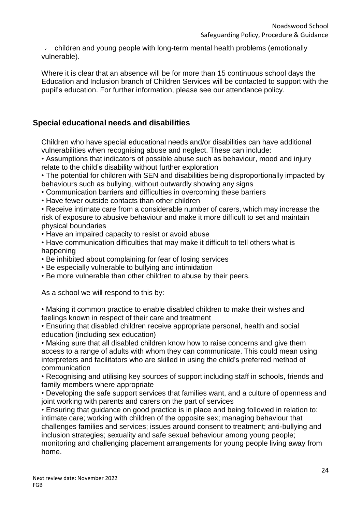children and young people with long-term mental health problems (emotionally vulnerable).

Where it is clear that an absence will be for more than 15 continuous school days the Education and Inclusion branch of Children Services will be contacted to support with the pupil's education. For further information, please see our attendance policy.

# **Special educational needs and disabilities**

Children who have special educational needs and/or disabilities can have additional vulnerabilities when recognising abuse and neglect. These can include:

• Assumptions that indicators of possible abuse such as behaviour, mood and injury relate to the child's disability without further exploration

• The potential for children with SEN and disabilities being disproportionally impacted by behaviours such as bullying, without outwardly showing any signs

• Communication barriers and difficulties in overcoming these barriers

• Have fewer outside contacts than other children

• Receive intimate care from a considerable number of carers, which may increase the risk of exposure to abusive behaviour and make it more difficult to set and maintain physical boundaries

• Have an impaired capacity to resist or avoid abuse

• Have communication difficulties that may make it difficult to tell others what is happening

- Be inhibited about complaining for fear of losing services
- Be especially vulnerable to bullying and intimidation
- Be more vulnerable than other children to abuse by their peers.

As a school we will respond to this by:

• Making it common practice to enable disabled children to make their wishes and feelings known in respect of their care and treatment

• Ensuring that disabled children receive appropriate personal, health and social education (including sex education)

• Making sure that all disabled children know how to raise concerns and give them access to a range of adults with whom they can communicate. This could mean using interpreters and facilitators who are skilled in using the child's preferred method of communication

• Recognising and utilising key sources of support including staff in schools, friends and family members where appropriate

• Developing the safe support services that families want, and a culture of openness and joint working with parents and carers on the part of services

• Ensuring that guidance on good practice is in place and being followed in relation to: intimate care; working with children of the opposite sex; managing behaviour that challenges families and services; issues around consent to treatment; anti-bullying and inclusion strategies; sexuality and safe sexual behaviour among young people; monitoring and challenging placement arrangements for young people living away from home.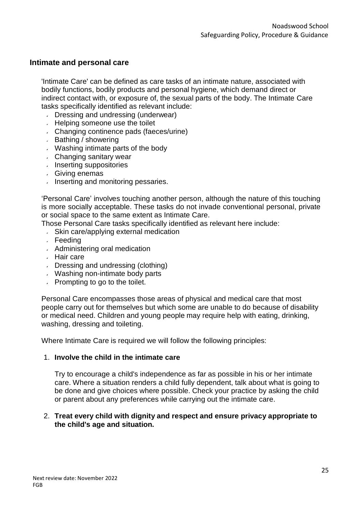### **Intimate and personal care**

'Intimate Care' can be defined as care tasks of an intimate nature, associated with bodily functions, bodily products and personal hygiene, which demand direct or indirect contact with, or exposure of, the sexual parts of the body. The Intimate Care tasks specifically identified as relevant include:

- Dressing and undressing (underwear)
- Helping someone use the toilet
- Changing continence pads (faeces/urine)
- $\overline{\phantom{a}}$  Bathing / showering
- Washing intimate parts of the body
- Changing sanitary wear
- $\cdot$  Inserting suppositories
- Giving enemas
- $\blacksquare$  Inserting and monitoring pessaries.

'Personal Care' involves touching another person, although the nature of this touching is more socially acceptable. These tasks do not invade conventional personal, private or social space to the same extent as Intimate Care.

- Those Personal Care tasks specifically identified as relevant here include:
	- Skin care/applying external medication
	- Feeding
	- Administering oral medication
	- Hair care
	- Dressing and undressing (clothing)
	- Washing non-intimate body parts
	- $\sqrt{ }$  Prompting to go to the toilet.

Personal Care encompasses those areas of physical and medical care that most people carry out for themselves but which some are unable to do because of disability or medical need. Children and young people may require help with eating, drinking, washing, dressing and toileting.

Where Intimate Care is required we will follow the following principles:

#### 1. **Involve the child in the intimate care**

Try to encourage a child's independence as far as possible in his or her intimate care. Where a situation renders a child fully dependent, talk about what is going to be done and give choices where possible. Check your practice by asking the child or parent about any preferences while carrying out the intimate care.

#### 2. **Treat every child with dignity and respect and ensure privacy appropriate to the child's age and situation.**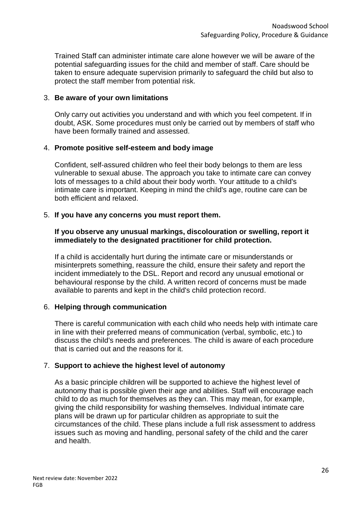Trained Staff can administer intimate care alone however we will be aware of the potential safeguarding issues for the child and member of staff. Care should be taken to ensure adequate supervision primarily to safeguard the child but also to protect the staff member from potential risk.

#### 3. **Be aware of your own limitations**

Only carry out activities you understand and with which you feel competent. If in doubt, ASK. Some procedures must only be carried out by members of staff who have been formally trained and assessed.

#### 4. **Promote positive self-esteem and body image**

Confident, self-assured children who feel their body belongs to them are less vulnerable to sexual abuse. The approach you take to intimate care can convey lots of messages to a child about their body worth. Your attitude to a child's intimate care is important. Keeping in mind the child's age, routine care can be both efficient and relaxed.

#### 5. **If you have any concerns you must report them.**

#### **If you observe any unusual markings, discolouration or swelling, report it immediately to the designated practitioner for child protection.**

If a child is accidentally hurt during the intimate care or misunderstands or misinterprets something, reassure the child, ensure their safety and report the incident immediately to the DSL. Report and record any unusual emotional or behavioural response by the child. A written record of concerns must be made available to parents and kept in the child's child protection record.

#### 6. **Helping through communication**

There is careful communication with each child who needs help with intimate care in line with their preferred means of communication (verbal, symbolic, etc.) to discuss the child's needs and preferences. The child is aware of each procedure that is carried out and the reasons for it.

#### 7. **Support to achieve the highest level of autonomy**

As a basic principle children will be supported to achieve the highest level of autonomy that is possible given their age and abilities. Staff will encourage each child to do as much for themselves as they can. This may mean, for example, giving the child responsibility for washing themselves. Individual intimate care plans will be drawn up for particular children as appropriate to suit the circumstances of the child. These plans include a full risk assessment to address issues such as moving and handling, personal safety of the child and the carer and health.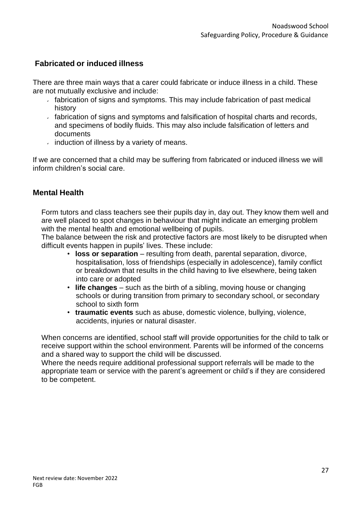# **Fabricated or induced illness**

There are three main ways that a carer could fabricate or induce illness in a child. These are not mutually exclusive and include:

- $\overline{a}$  fabrication of signs and symptoms. This may include fabrication of past medical history
- $\sim$  fabrication of signs and symptoms and falsification of hospital charts and records, and specimens of bodily fluids. This may also include falsification of letters and documents
- $\overline{\phantom{a}}$  induction of illness by a variety of means.

If we are concerned that a child may be suffering from fabricated or induced illness we will inform children's social care.

# **Mental Health**

Form tutors and class teachers see their pupils day in, day out. They know them well and are well placed to spot changes in behaviour that might indicate an emerging problem with the mental health and emotional wellbeing of pupils.

The balance between the risk and protective factors are most likely to be disrupted when difficult events happen in pupils' lives. These include:

- **loss or separation** resulting from death, parental separation, divorce, hospitalisation, loss of friendships (especially in adolescence), family conflict or breakdown that results in the child having to live elsewhere, being taken into care or adopted
- **life changes**  such as the birth of a sibling, moving house or changing schools or during transition from primary to secondary school, or secondary school to sixth form
- **traumatic events** such as abuse, domestic violence, bullying, violence, accidents, injuries or natural disaster.

When concerns are identified, school staff will provide opportunities for the child to talk or receive support within the school environment. Parents will be informed of the concerns and a shared way to support the child will be discussed.

Where the needs require additional professional support referrals will be made to the appropriate team or service with the parent's agreement or child's if they are considered to be competent.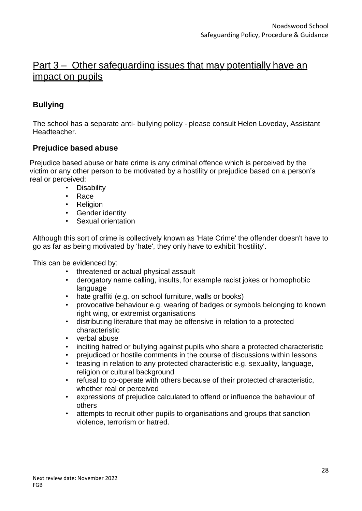# Part 3 – Other safeguarding issues that may potentially have an impact on pupils

# **Bullying**

The school has a separate anti- bullying policy - please consult Helen Loveday, Assistant Headteacher.

# **Prejudice based abuse**

Prejudice based abuse or hate crime is any criminal offence which is perceived by the victim or any other person to be motivated by a hostility or prejudice based on a person's real or perceived:

- Disability
- Race
- Religion
- Gender identity
- Sexual orientation

Although this sort of crime is collectively known as 'Hate Crime' the offender doesn't have to go as far as being motivated by 'hate', they only have to exhibit 'hostility'.

This can be evidenced by:

- threatened or actual physical assault
- derogatory name calling, insults, for example racist jokes or homophobic language
- hate graffiti (e.g. on school furniture, walls or books)
- provocative behaviour e.g. wearing of badges or symbols belonging to known right wing, or extremist organisations
- distributing literature that may be offensive in relation to a protected characteristic
- verbal abuse
- inciting hatred or bullying against pupils who share a protected characteristic
- prejudiced or hostile comments in the course of discussions within lessons
- teasing in relation to any protected characteristic e.g. sexuality, language, religion or cultural background
- refusal to co-operate with others because of their protected characteristic, whether real or perceived
- expressions of prejudice calculated to offend or influence the behaviour of others
- attempts to recruit other pupils to organisations and groups that sanction violence, terrorism or hatred.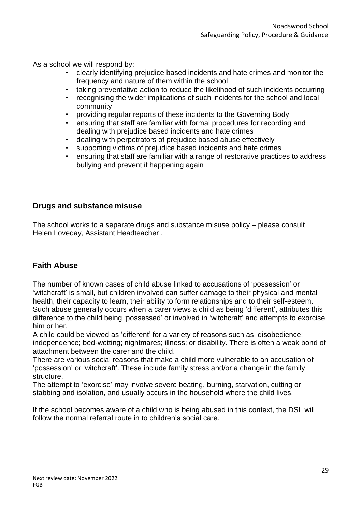As a school we will respond by:

- clearly identifying prejudice based incidents and hate crimes and monitor the frequency and nature of them within the school
- taking preventative action to reduce the likelihood of such incidents occurring
- recognising the wider implications of such incidents for the school and local community
- providing regular reports of these incidents to the Governing Body
- ensuring that staff are familiar with formal procedures for recording and dealing with prejudice based incidents and hate crimes
- dealing with perpetrators of prejudice based abuse effectively
- supporting victims of prejudice based incidents and hate crimes
- ensuring that staff are familiar with a range of restorative practices to address bullying and prevent it happening again

### **Drugs and substance misuse**

The school works to a separate drugs and substance misuse policy – please consult Helen Loveday, Assistant Headteacher .

# **Faith Abuse**

The number of known cases of child abuse linked to accusations of 'possession' or 'witchcraft' is small, but children involved can suffer damage to their physical and mental health, their capacity to learn, their ability to form relationships and to their self-esteem. Such abuse generally occurs when a carer views a child as being 'different', attributes this difference to the child being 'possessed' or involved in 'witchcraft' and attempts to exorcise him or her.

A child could be viewed as 'different' for a variety of reasons such as, disobedience; independence; bed-wetting; nightmares; illness; or disability. There is often a weak bond of attachment between the carer and the child.

There are various social reasons that make a child more vulnerable to an accusation of 'possession' or 'witchcraft'. These include family stress and/or a change in the family structure.

The attempt to 'exorcise' may involve severe beating, burning, starvation, cutting or stabbing and isolation, and usually occurs in the household where the child lives.

If the school becomes aware of a child who is being abused in this context, the DSL will follow the normal referral route in to children's social care.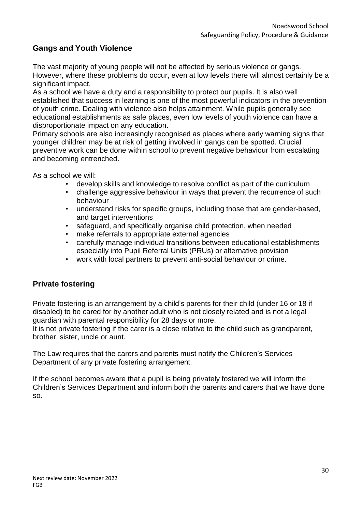# **Gangs and Youth Violence**

The vast majority of young people will not be affected by serious violence or gangs. However, where these problems do occur, even at low levels there will almost certainly be a significant impact.

As a school we have a duty and a responsibility to protect our pupils. It is also well established that success in learning is one of the most powerful indicators in the prevention of youth crime. Dealing with violence also helps attainment. While pupils generally see educational establishments as safe places, even low levels of youth violence can have a disproportionate impact on any education.

Primary schools are also increasingly recognised as places where early warning signs that younger children may be at risk of getting involved in gangs can be spotted. Crucial preventive work can be done within school to prevent negative behaviour from escalating and becoming entrenched.

As a school we will:

- develop skills and knowledge to resolve conflict as part of the curriculum
- challenge aggressive behaviour in ways that prevent the recurrence of such behaviour
- understand risks for specific groups, including those that are gender-based, and target interventions
- safeguard, and specifically organise child protection, when needed
- make referrals to appropriate external agencies
- carefully manage individual transitions between educational establishments especially into Pupil Referral Units (PRUs) or alternative provision
- work with local partners to prevent anti-social behaviour or crime.

# **Private fostering**

Private fostering is an arrangement by a child's parents for their child (under 16 or 18 if disabled) to be cared for by another adult who is not closely related and is not a legal guardian with parental responsibility for 28 days or more.

It is not private fostering if the carer is a close relative to the child such as grandparent, brother, sister, uncle or aunt.

The Law requires that the carers and parents must notify the Children's Services Department of any private fostering arrangement.

If the school becomes aware that a pupil is being privately fostered we will inform the Children's Services Department and inform both the parents and carers that we have done so.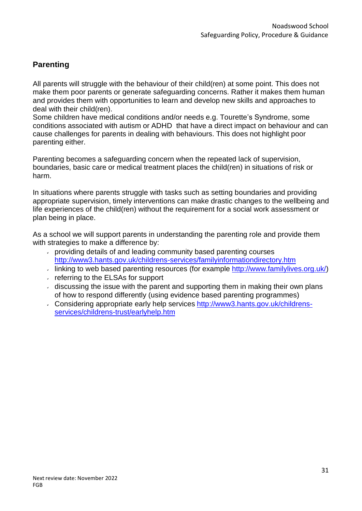# **Parenting**

All parents will struggle with the behaviour of their child(ren) at some point. This does not make them poor parents or generate safeguarding concerns. Rather it makes them human and provides them with opportunities to learn and develop new skills and approaches to deal with their child(ren).

Some children have medical conditions and/or needs e.g. Tourette's Syndrome, some conditions associated with autism or ADHD that have a direct impact on behaviour and can cause challenges for parents in dealing with behaviours. This does not highlight poor parenting either.

Parenting becomes a safeguarding concern when the repeated lack of supervision, boundaries, basic care or medical treatment places the child(ren) in situations of risk or harm.

In situations where parents struggle with tasks such as setting boundaries and providing appropriate supervision, timely interventions can make drastic changes to the wellbeing and life experiences of the child(ren) without the requirement for a social work assessment or plan being in place.

As a school we will support parents in understanding the parenting role and provide them with strategies to make a difference by:

- providing details of and leading community based parenting courses <http://www3.hants.gov.uk/childrens-services/familyinformationdirectory.htm>
- Iinking to web based parenting resources (for example [http://www.familylives.org.uk/\)](http://www.familylives.org.uk/)
- $\sqrt{r}$  referring to the ELSAs for support
- $\overline{a}$  discussing the issue with the parent and supporting them in making their own plans of how to respond differently (using evidence based parenting programmes)
- Considering appropriate early help services [http://www3.hants.gov.uk/childrens](http://www3.hants.gov.uk/childrens-services/childrens-trust/earlyhelp.htm)[services/childrens-trust/earlyhelp.htm](http://www3.hants.gov.uk/childrens-services/childrens-trust/earlyhelp.htm)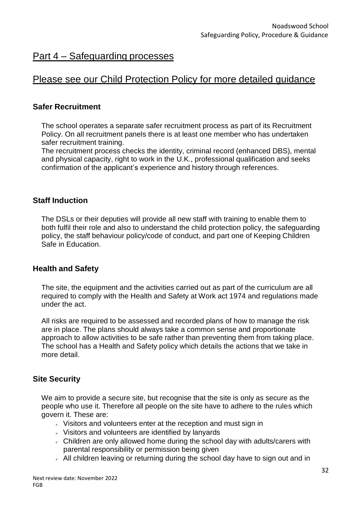# Part 4 – Safeguarding processes

# Please see our Child Protection Policy for more detailed guidance

### **Safer Recruitment**

The school operates a separate safer recruitment process as part of its Recruitment Policy. On all recruitment panels there is at least one member who has undertaken safer recruitment training.

The recruitment process checks the identity, criminal record (enhanced DBS), mental and physical capacity, right to work in the U.K., professional qualification and seeks confirmation of the applicant's experience and history through references.

#### **Staff Induction**

The DSLs or their deputies will provide all new staff with training to enable them to both fulfil their role and also to understand the child protection policy, the safeguarding policy, the staff behaviour policy/code of conduct, and part one of Keeping Children Safe in Education.

#### **Health and Safety**

The site, the equipment and the activities carried out as part of the curriculum are all required to comply with the Health and Safety at Work act 1974 and regulations made under the act.

All risks are required to be assessed and recorded plans of how to manage the risk are in place. The plans should always take a common sense and proportionate approach to allow activities to be safe rather than preventing them from taking place. The school has a Health and Safety policy which details the actions that we take in more detail.

# **Site Security**

We aim to provide a secure site, but recognise that the site is only as secure as the people who use it. Therefore all people on the site have to adhere to the rules which govern it. These are:

- $\vee$  Visitors and volunteers enter at the reception and must sign in
- Visitors and volunteers are identified by lanyards
- Children are only allowed home during the school day with adults/carers with parental responsibility or permission being given
- All children leaving or returning during the school day have to sign out and in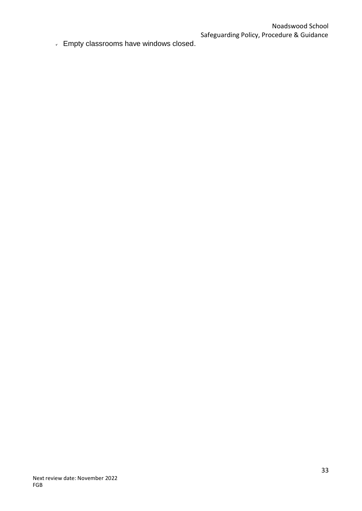Empty classrooms have windows closed.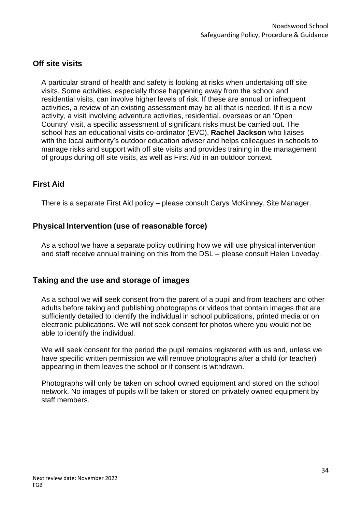# **Off site visits**

A particular strand of health and safety is looking at risks when undertaking off site visits. Some activities, especially those happening away from the school and residential visits, can involve higher levels of risk. If these are annual or infrequent activities, a review of an existing assessment may be all that is needed. If it is a new activity, a visit involving adventure activities, residential, overseas or an 'Open Country' visit, a specific assessment of significant risks must be carried out. The school has an educational visits co-ordinator (EVC), **Rachel Jackson** who liaises with the local authority's outdoor education adviser and helps colleagues in schools to manage risks and support with off site visits and provides training in the management of groups during off site visits, as well as First Aid in an outdoor context.

### **First Aid**

There is a separate First Aid policy – please consult Carys McKinney, Site Manager.

# **Physical Intervention (use of reasonable force)**

As a school we have a separate policy outlining how we will use physical intervention and staff receive annual training on this from the DSL – please consult Helen Loveday.

#### **Taking and the use and storage of images**

As a school we will seek consent from the parent of a pupil and from teachers and other adults before taking and publishing photographs or videos that contain images that are sufficiently detailed to identify the individual in school publications, printed media or on electronic publications. We will not seek consent for photos where you would not be able to identify the individual.

We will seek consent for the period the pupil remains registered with us and, unless we have specific written permission we will remove photographs after a child (or teacher) appearing in them leaves the school or if consent is withdrawn.

Photographs will only be taken on school owned equipment and stored on the school network. No images of pupils will be taken or stored on privately owned equipment by staff members.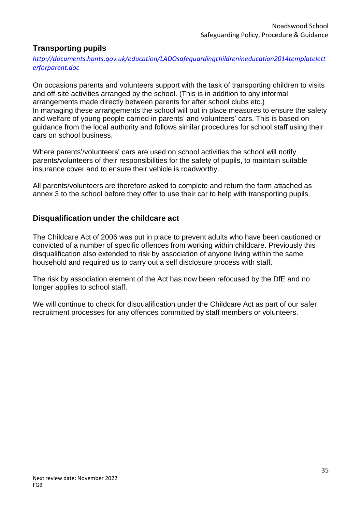# **Transporting pupils**

*[http://documents.hants.gov.uk/education/LADOsafeguardingchildrenineducation2014templatelett](http://documents.hants.gov.uk/education/LADOsafeguardingchildrenineducation2014templateletterforparent.doc) [erforparent.doc](http://documents.hants.gov.uk/education/LADOsafeguardingchildrenineducation2014templateletterforparent.doc)*

On occasions parents and volunteers support with the task of transporting children to visits and off-site activities arranged by the school. (This is in addition to any informal arrangements made directly between parents for after school clubs etc.) In managing these arrangements the school will put in place measures to ensure the safety and welfare of young people carried in parents' and volunteers' cars. This is based on guidance from the local authority and follows similar procedures for school staff using their cars on school business.

Where parents'/volunteers' cars are used on school activities the school will notify parents/volunteers of their responsibilities for the safety of pupils, to maintain suitable insurance cover and to ensure their vehicle is roadworthy.

All parents/volunteers are therefore asked to complete and return the form attached as annex 3 to the school before they offer to use their car to help with transporting pupils.

# **Disqualification under the childcare act**

The Childcare Act of 2006 was put in place to prevent adults who have been cautioned or convicted of a number of specific offences from working within childcare. Previously this disqualification also extended to risk by association of anyone living within the same household and required us to carry out a self disclosure process with staff.

The risk by association element of the Act has now been refocused by the DfE and no longer applies to school staff.

We will continue to check for disqualification under the Childcare Act as part of our safer recruitment processes for any offences committed by staff members or volunteers.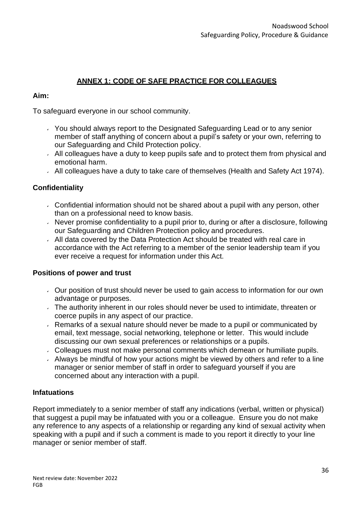# **ANNEX 1: CODE OF SAFE PRACTICE FOR COLLEAGUES**

#### **Aim:**

To safeguard everyone in our school community.

- You should always report to the Designated Safeguarding Lead or to any senior member of staff anything of concern about a pupil's safety or your own, referring to our Safeguarding and Child Protection policy.
- $\sim$  All colleagues have a duty to keep pupils safe and to protect them from physical and emotional harm.
- All colleagues have a duty to take care of themselves (Health and Safety Act 1974).

#### **Confidentiality**

- Confidential information should not be shared about a pupil with any person, other than on a professional need to know basis.
- $\sim$  Never promise confidentiality to a pupil prior to, during or after a disclosure, following our Safeguarding and Children Protection policy and procedures.
- All data covered by the Data Protection Act should be treated with real care in accordance with the Act referring to a member of the senior leadership team if you ever receive a request for information under this Act.

#### **Positions of power and trust**

- $\sim$  Our position of trust should never be used to gain access to information for our own advantage or purposes.
- $\overline{a}$ . The authority inherent in our roles should never be used to intimidate, threaten or coerce pupils in any aspect of our practice.
- $\overline{\phantom{a}}$  Remarks of a sexual nature should never be made to a pupil or communicated by email, text message, social networking, telephone or letter. This would include discussing our own sexual preferences or relationships or a pupils.
- Colleagues must not make personal comments which demean or humiliate pupils.
- $\lambda$  Always be mindful of how your actions might be viewed by others and refer to a line manager or senior member of staff in order to safeguard yourself if you are concerned about any interaction with a pupil.

#### **Infatuations**

Report immediately to a senior member of staff any indications (verbal, written or physical) that suggest a pupil may be infatuated with you or a colleague. Ensure you do not make any reference to any aspects of a relationship or regarding any kind of sexual activity when speaking with a pupil and if such a comment is made to you report it directly to your line manager or senior member of staff.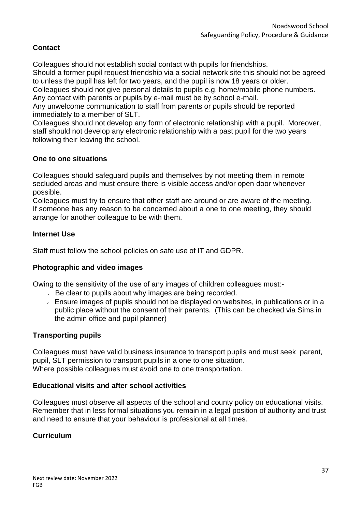# **Contact**

Colleagues should not establish social contact with pupils for friendships.

Should a former pupil request friendship via a social network site this should not be agreed to unless the pupil has left for two years, and the pupil is now 18 years or older.

Colleagues should not give personal details to pupils e.g. home/mobile phone numbers. Any contact with parents or pupils by e-mail must be by school e-mail.

Any unwelcome communication to staff from parents or pupils should be reported immediately to a member of SLT.

Colleagues should not develop any form of electronic relationship with a pupil. Moreover, staff should not develop any electronic relationship with a past pupil for the two years following their leaving the school.

# **One to one situations**

Colleagues should safeguard pupils and themselves by not meeting them in remote secluded areas and must ensure there is visible access and/or open door whenever possible.

Colleagues must try to ensure that other staff are around or are aware of the meeting. If someone has any reason to be concerned about a one to one meeting, they should arrange for another colleague to be with them.

### **Internet Use**

Staff must follow the school policies on safe use of IT and GDPR.

#### **Photographic and video images**

Owing to the sensitivity of the use of any images of children colleagues must:-

- $\overline{B}$  Be clear to pupils about why images are being recorded.
- $\overline{\phantom{a}}$  Ensure images of pupils should not be displayed on websites, in publications or in a public place without the consent of their parents. (This can be checked via Sims in the admin office and pupil planner)

#### **Transporting pupils**

Colleagues must have valid business insurance to transport pupils and must seek parent, pupil, SLT permission to transport pupils in a one to one situation. Where possible colleagues must avoid one to one transportation.

#### **Educational visits and after school activities**

Colleagues must observe all aspects of the school and county policy on educational visits. Remember that in less formal situations you remain in a legal position of authority and trust and need to ensure that your behaviour is professional at all times.

#### **Curriculum**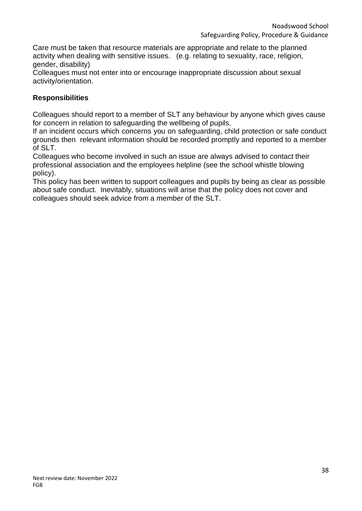Care must be taken that resource materials are appropriate and relate to the planned activity when dealing with sensitive issues. (e.g. relating to sexuality, race, religion, gender, disability)

Colleagues must not enter into or encourage inappropriate discussion about sexual activity/orientation.

### **Responsibilities**

Colleagues should report to a member of SLT any behaviour by anyone which gives cause for concern in relation to safeguarding the wellbeing of pupils.

If an incident occurs which concerns you on safeguarding, child protection or safe conduct grounds then relevant information should be recorded promptly and reported to a member of SLT.

Colleagues who become involved in such an issue are always advised to contact their professional association and the employees helpline (see the school whistle blowing policy).

This policy has been written to support colleagues and pupils by being as clear as possible about safe conduct. Inevitably, situations will arise that the policy does not cover and colleagues should seek advice from a member of the SLT.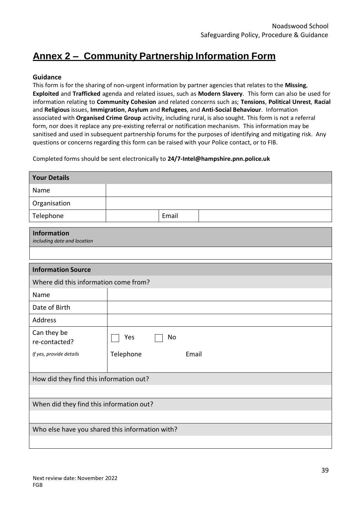# **Annex 2 – Community Partnership Information Form**

#### **Guidance**

This form is for the sharing of non-urgent information by partner agencies that relates to the **Missing**, **Exploited** and **Trafficked** agenda and related issues, such as **Modern Slavery**. This form can also be used for information relating to **Community Cohesion** and related concerns such as; **Tensions**, **Political Unrest**, **Racial**  and **Religious** issues, **Immigration**, **Asylum** and **Refugees**, and **Anti-Social Behaviour**. Information associated with **Organised Crime Group** activity, including rural, is also sought. This form is not a referral form, nor does it replace any pre-existing referral or notification mechanism. This information may be sanitised and used in subsequent partnership forums for the purposes of identifying and mitigating risk. Any questions or concerns regarding this form can be raised with your Police contact, or to FIB.

Completed forms should be sent electronically to **[24/7-Intel@hampshire.pnn.police.uk](mailto:24/7-Intel@hampshire.pnn.police.uk)**

| <b>Your Details</b>                               |                    |  |
|---------------------------------------------------|--------------------|--|
| Name                                              |                    |  |
| Organisation                                      |                    |  |
| Telephone                                         | Email              |  |
| <b>Information</b><br>including date and location |                    |  |
|                                                   |                    |  |
| <b>Information Source</b>                         |                    |  |
| Where did this information come from?             |                    |  |
| Name                                              |                    |  |
| Date of Birth                                     |                    |  |
| <b>Address</b>                                    |                    |  |
| Can they be<br>re-contacted?                      | Yes<br>No          |  |
| If yes, provide details                           | Telephone<br>Email |  |
| How did they find this information out?           |                    |  |
|                                                   |                    |  |
| When did they find this information out?          |                    |  |
|                                                   |                    |  |
| Who else have you shared this information with?   |                    |  |
|                                                   |                    |  |